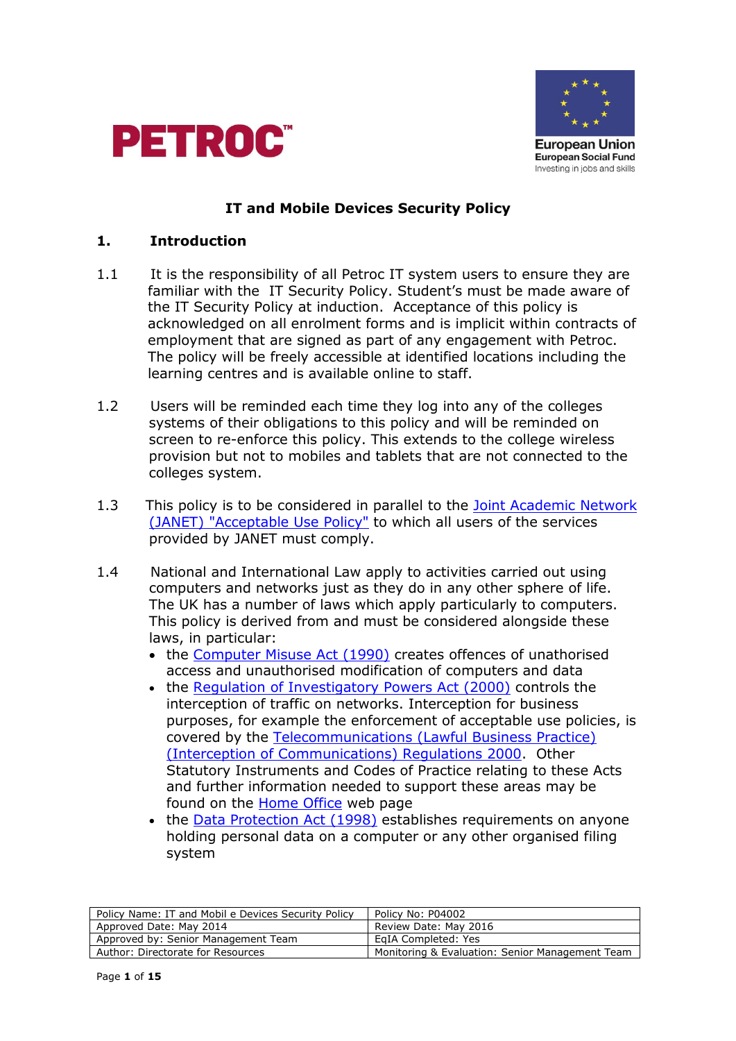



### **IT and Mobile Devices Security Policy**

#### **1. Introduction**

- 1.1 It is the responsibility of all Petroc IT system users to ensure they are familiar with the IT Security Policy. Student's must be made aware of the IT Security Policy at induction. Acceptance of this policy is acknowledged on all enrolment forms and is implicit within contracts of employment that are signed as part of any engagement with Petroc. The policy will be freely accessible at identified locations including the learning centres and is available online to staff.
- 1.2 Users will be reminded each time they log into any of the colleges systems of their obligations to this policy and will be reminded on screen to re-enforce this policy. This extends to the college wireless provision but not to mobiles and tablets that are not connected to the colleges system.
- 1.3 This policy is to be considered in parallel to the [Joint Academic Network](http://www.ja.net/company/policies/aup.html)  [\(JANET\) "Acceptable Use Policy"](http://www.ja.net/company/policies/aup.html) to which all users of the services provided by JANET must comply.
- 1.4 National and International Law apply to activities carried out using computers and networks just as they do in any other sphere of life. The UK has a number of laws which apply particularly to computers. This policy is derived from and must be considered alongside these laws, in particular:
	- the [Computer Misuse Act \(1990\)](http://www.legislation.hmso.gov.uk/acts/acts1990/Ukpga_19900018_en_1.htm) creates offences of unathorised access and unauthorised modification of computers and data
	- the [Regulation of Investigatory Powers Act \(2000\)](http://www.legislation.gov.uk/ukpga/2000/23/contents) controls the interception of traffic on networks. Interception for business purposes, for example the enforcement of acceptable use policies, is covered by the [Telecommunications \(Lawful Business Practice\)](http://www.legislation.hmso.gov.uk/si/si2000/20002699.htm)  [\(Interception of Communications\) Regulations 2000.](http://www.legislation.hmso.gov.uk/si/si2000/20002699.htm) Other Statutory Instruments and Codes of Practice relating to these Acts and further information needed to support these areas may be found on the **Home Office** web page
	- the [Data Protection Act \(1998\)](http://www.legislation.gov.uk/ukpga/1998/29/contents) establishes requirements on anyone holding personal data on a computer or any other organised filing system

| Policy Name: IT and Mobil e Devices Security Policy | Policy No: P04002                               |
|-----------------------------------------------------|-------------------------------------------------|
| Approved Date: May 2014                             | Review Date: May 2016                           |
| Approved by: Senior Management Team                 | EgIA Completed: Yes                             |
| Author: Directorate for Resources                   | Monitoring & Evaluation: Senior Management Team |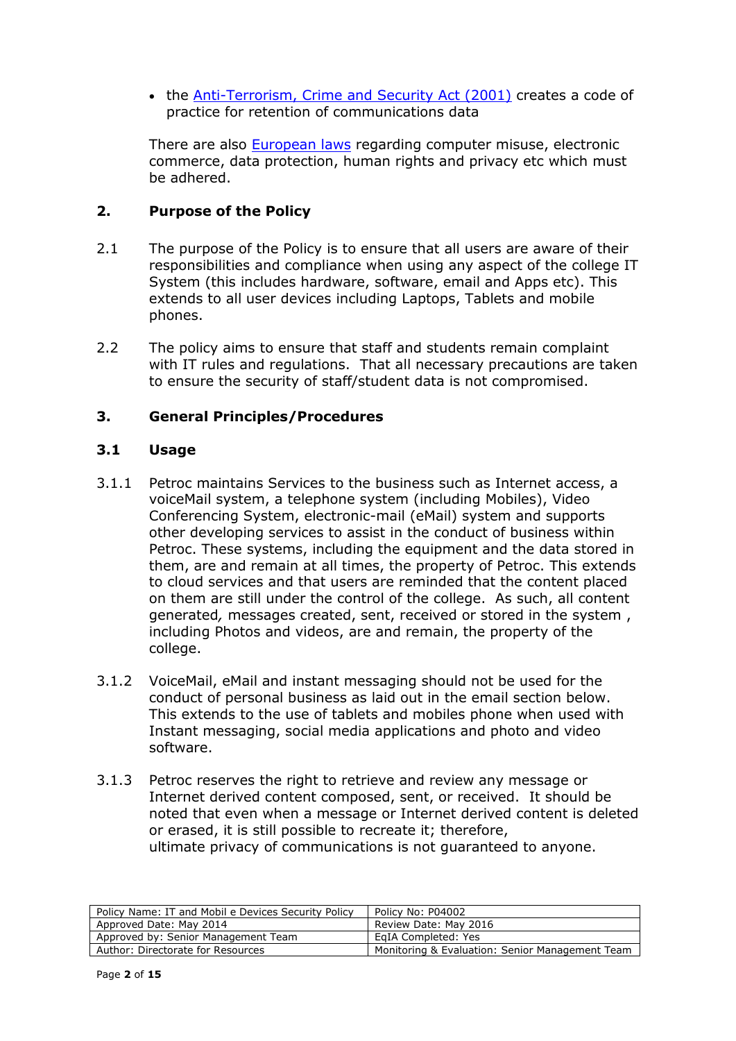• the [Anti-Terrorism, Crime and Security Act \(2001\)](http://www.legislation.gov.uk/ukpga/2001/24/contents) creates a code of practice for retention of communications data

There are also [European laws](http://europa.eu/eu-law/index_en.htm) regarding computer misuse, electronic commerce, data protection, human rights and privacy etc which must be adhered.

## **2. Purpose of the Policy**

- 2.1 The purpose of the Policy is to ensure that all users are aware of their responsibilities and compliance when using any aspect of the college IT System (this includes hardware, software, email and Apps etc). This extends to all user devices including Laptops, Tablets and mobile phones.
- 2.2 The policy aims to ensure that staff and students remain complaint with IT rules and regulations. That all necessary precautions are taken to ensure the security of staff/student data is not compromised.

## **3. General Principles/Procedures**

## **3.1 Usage**

- 3.1.1 Petroc maintains Services to the business such as Internet access, a voiceMail system, a telephone system (including Mobiles), Video Conferencing System, electronic-mail (eMail) system and supports other developing services to assist in the conduct of business within Petroc. These systems, including the equipment and the data stored in them, are and remain at all times, the property of Petroc. This extends to cloud services and that users are reminded that the content placed on them are still under the control of the college. As such, all content generated*,* messages created, sent, received or stored in the system , including Photos and videos, are and remain, the property of the college.
- 3.1.2 VoiceMail, eMail and instant messaging should not be used for the conduct of personal business as laid out in the email section below. This extends to the use of tablets and mobiles phone when used with Instant messaging, social media applications and photo and video software.
- 3.1.3 Petroc reserves the right to retrieve and review any message or Internet derived content composed, sent, or received. It should be noted that even when a message or Internet derived content is deleted or erased, it is still possible to recreate it; therefore, ultimate privacy of communications is not guaranteed to anyone.

| Policy Name: IT and Mobil e Devices Security Policy | Policy No: P04002                               |
|-----------------------------------------------------|-------------------------------------------------|
| Approved Date: May 2014                             | Review Date: May 2016                           |
| Approved by: Senior Management Team                 | EaIA Completed: Yes                             |
| Author: Directorate for Resources                   | Monitoring & Evaluation: Senior Management Team |
|                                                     |                                                 |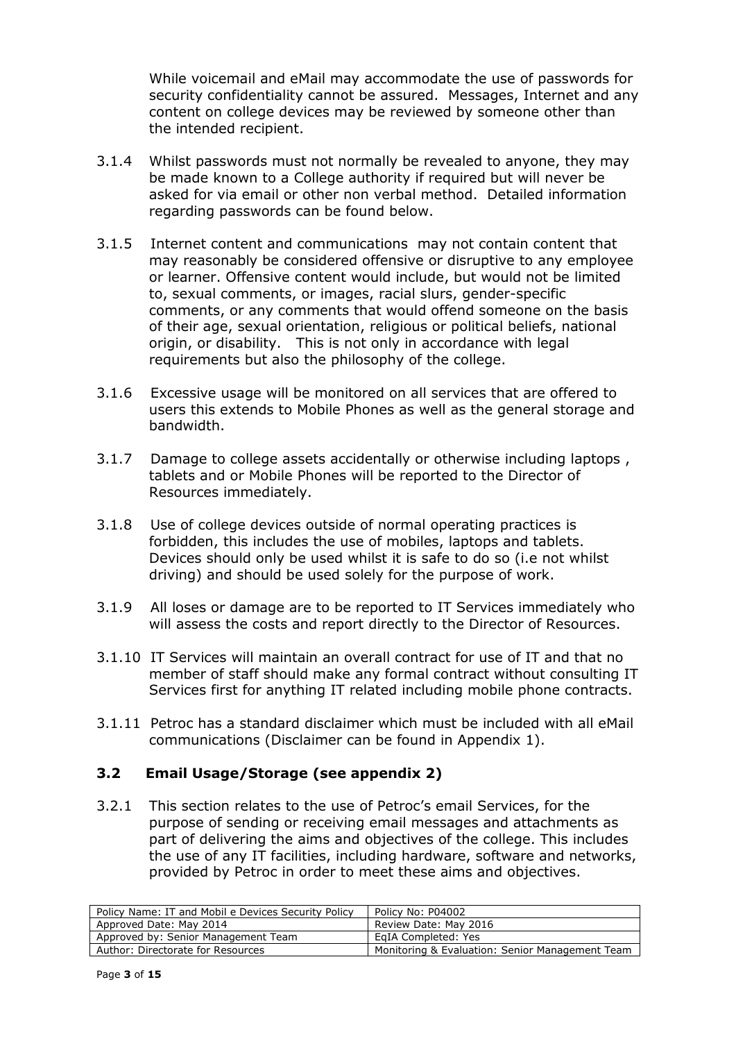While voicemail and eMail may accommodate the use of passwords for security confidentiality cannot be assured. Messages, Internet and any content on college devices may be reviewed by someone other than the intended recipient.

- 3.1.4 Whilst passwords must not normally be revealed to anyone, they may be made known to a College authority if required but will never be asked for via email or other non verbal method. Detailed information regarding passwords can be found below.
- 3.1.5 Internet content and communications may not contain content that may reasonably be considered offensive or disruptive to any employee or learner. Offensive content would include, but would not be limited to, sexual comments, or images, racial slurs, gender-specific comments, or any comments that would offend someone on the basis of their age, sexual orientation, religious or political beliefs, national origin, or disability. This is not only in accordance with legal requirements but also the philosophy of the college.
- 3.1.6 Excessive usage will be monitored on all services that are offered to users this extends to Mobile Phones as well as the general storage and bandwidth.
- 3.1.7 Damage to college assets accidentally or otherwise including laptops , tablets and or Mobile Phones will be reported to the Director of Resources immediately.
- 3.1.8 Use of college devices outside of normal operating practices is forbidden, this includes the use of mobiles, laptops and tablets. Devices should only be used whilst it is safe to do so (i.e not whilst driving) and should be used solely for the purpose of work.
- 3.1.9 All loses or damage are to be reported to IT Services immediately who will assess the costs and report directly to the Director of Resources.
- 3.1.10 IT Services will maintain an overall contract for use of IT and that no member of staff should make any formal contract without consulting IT Services first for anything IT related including mobile phone contracts.
- 3.1.11 Petroc has a standard disclaimer which must be included with all eMail communications (Disclaimer can be found in Appendix 1).

# **3.2 Email Usage/Storage (see appendix 2)**

3.2.1 This section relates to the use of Petroc's email Services, for the purpose of sending or receiving email messages and attachments as part of delivering the aims and objectives of the college. This includes the use of any IT facilities, including hardware, software and networks, provided by Petroc in order to meet these aims and objectives.

| Policy Name: IT and Mobil e Devices Security Policy | Policy No: P04002                               |
|-----------------------------------------------------|-------------------------------------------------|
| Approved Date: May 2014                             | Review Date: May 2016                           |
| Approved by: Senior Management Team                 | EaIA Completed: Yes                             |
| Author: Directorate for Resources                   | Monitoring & Evaluation: Senior Management Team |
|                                                     |                                                 |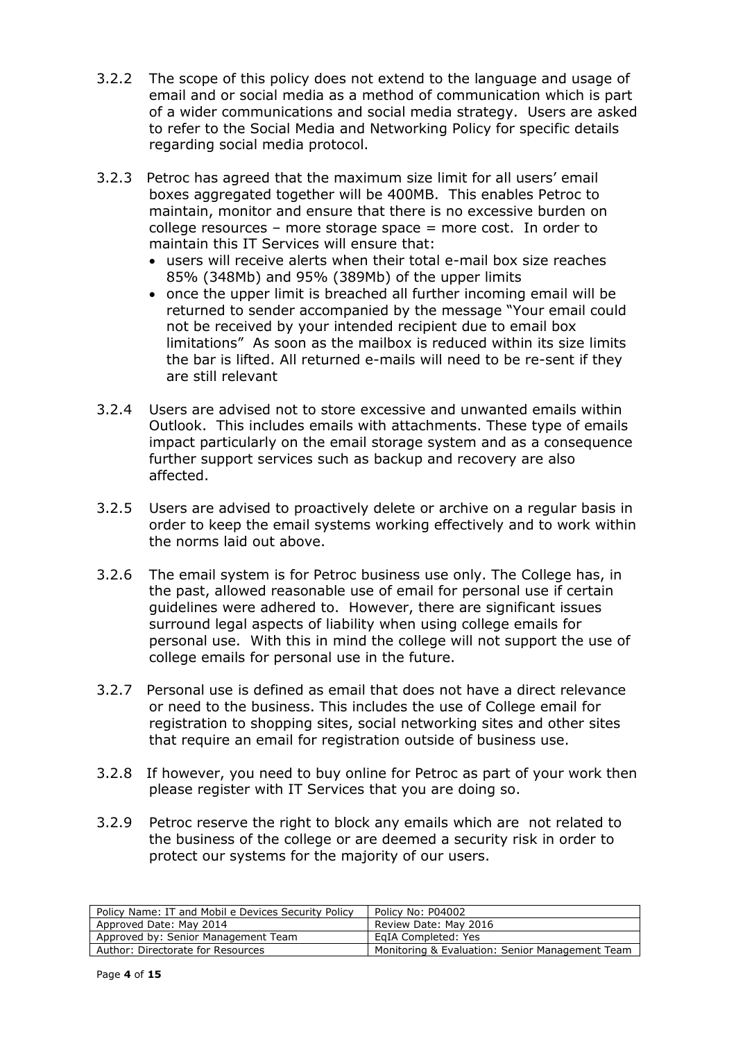- 3.2.2 The scope of this policy does not extend to the language and usage of email and or social media as a method of communication which is part of a wider communications and social media strategy. Users are asked to refer to the Social Media and Networking Policy for specific details regarding social media protocol.
- 3.2.3 Petroc has agreed that the maximum size limit for all users' email boxes aggregated together will be 400MB. This enables Petroc to maintain, monitor and ensure that there is no excessive burden on college resources – more storage space = more cost. In order to maintain this IT Services will ensure that:
	- users will receive alerts when their total e-mail box size reaches 85% (348Mb) and 95% (389Mb) of the upper limits
	- once the upper limit is breached all further incoming email will be returned to sender accompanied by the message "Your email could not be received by your intended recipient due to email box limitations" As soon as the mailbox is reduced within its size limits the bar is lifted. All returned e-mails will need to be re-sent if they are still relevant
- 3.2.4 Users are advised not to store excessive and unwanted emails within Outlook. This includes emails with attachments. These type of emails impact particularly on the email storage system and as a consequence further support services such as backup and recovery are also affected.
- 3.2.5 Users are advised to proactively delete or archive on a regular basis in order to keep the email systems working effectively and to work within the norms laid out above.
- 3.2.6 The email system is for Petroc business use only. The College has, in the past, allowed reasonable use of email for personal use if certain guidelines were adhered to. However, there are significant issues surround legal aspects of liability when using college emails for personal use. With this in mind the college will not support the use of college emails for personal use in the future.
- 3.2.7 Personal use is defined as email that does not have a direct relevance or need to the business. This includes the use of College email for registration to shopping sites, social networking sites and other sites that require an email for registration outside of business use.
- 3.2.8 If however, you need to buy online for Petroc as part of your work then please register with IT Services that you are doing so.
- 3.2.9 Petroc reserve the right to block any emails which are not related to the business of the college or are deemed a security risk in order to protect our systems for the majority of our users.

| Policy No: P04002                               |
|-------------------------------------------------|
| Review Date: May 2016                           |
| EgIA Completed: Yes                             |
| Monitoring & Evaluation: Senior Management Team |
|                                                 |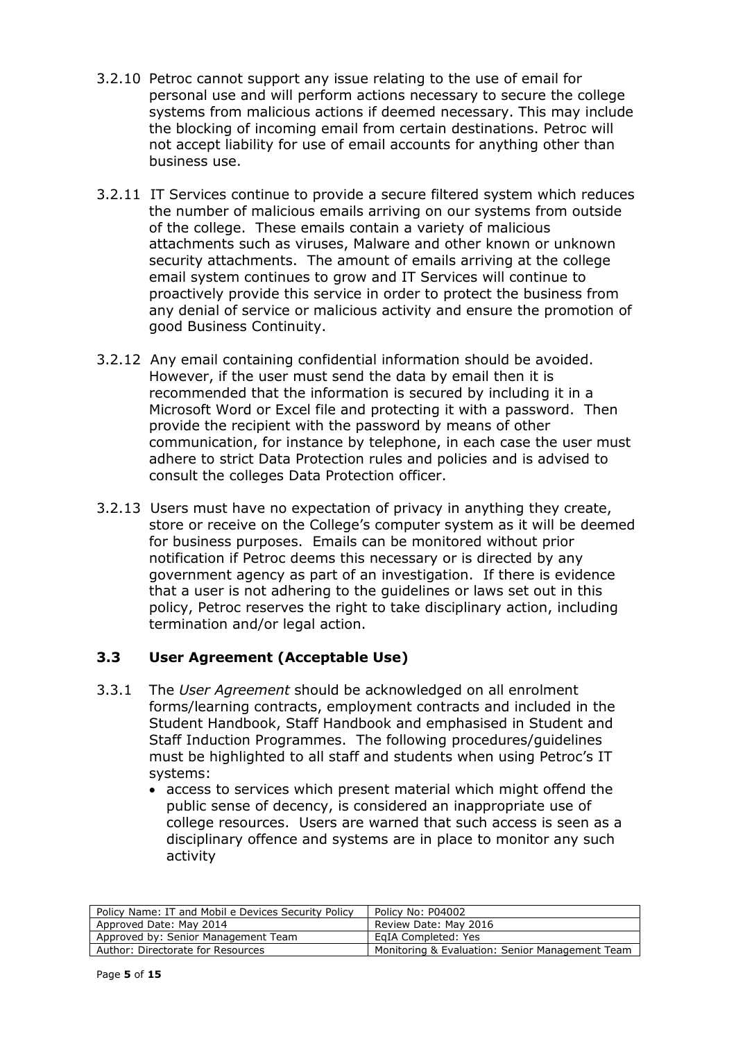- 3.2.10 Petroc cannot support any issue relating to the use of email for personal use and will perform actions necessary to secure the college systems from malicious actions if deemed necessary. This may include the blocking of incoming email from certain destinations. Petroc will not accept liability for use of email accounts for anything other than business use.
- 3.2.11 IT Services continue to provide a secure filtered system which reduces the number of malicious emails arriving on our systems from outside of the college. These emails contain a variety of malicious attachments such as viruses, Malware and other known or unknown security attachments. The amount of emails arriving at the college email system continues to grow and IT Services will continue to proactively provide this service in order to protect the business from any denial of service or malicious activity and ensure the promotion of good Business Continuity.
- 3.2.12 Any email containing confidential information should be avoided. However, if the user must send the data by email then it is recommended that the information is secured by including it in a Microsoft Word or Excel file and protecting it with a password. Then provide the recipient with the password by means of other communication, for instance by telephone, in each case the user must adhere to strict Data Protection rules and policies and is advised to consult the colleges Data Protection officer.
- 3.2.13 Users must have no expectation of privacy in anything they create, store or receive on the College's computer system as it will be deemed for business purposes. Emails can be monitored without prior notification if Petroc deems this necessary or is directed by any government agency as part of an investigation. If there is evidence that a user is not adhering to the guidelines or laws set out in this policy, Petroc reserves the right to take disciplinary action, including termination and/or legal action.

# **3.3 User Agreement (Acceptable Use)**

- 3.3.1 The *User Agreement* should be acknowledged on all enrolment forms/learning contracts, employment contracts and included in the Student Handbook, Staff Handbook and emphasised in Student and Staff Induction Programmes. The following procedures/guidelines must be highlighted to all staff and students when using Petroc's IT systems:
	- access to services which present material which might offend the public sense of decency, is considered an inappropriate use of college resources. Users are warned that such access is seen as a disciplinary offence and systems are in place to monitor any such activity

| Policy Name: IT and Mobil e Devices Security Policy | Policy No: P04002                               |
|-----------------------------------------------------|-------------------------------------------------|
| Approved Date: May 2014                             | Review Date: May 2016                           |
| Approved by: Senior Management Team                 | EaIA Completed: Yes                             |
| Author: Directorate for Resources                   | Monitoring & Evaluation: Senior Management Team |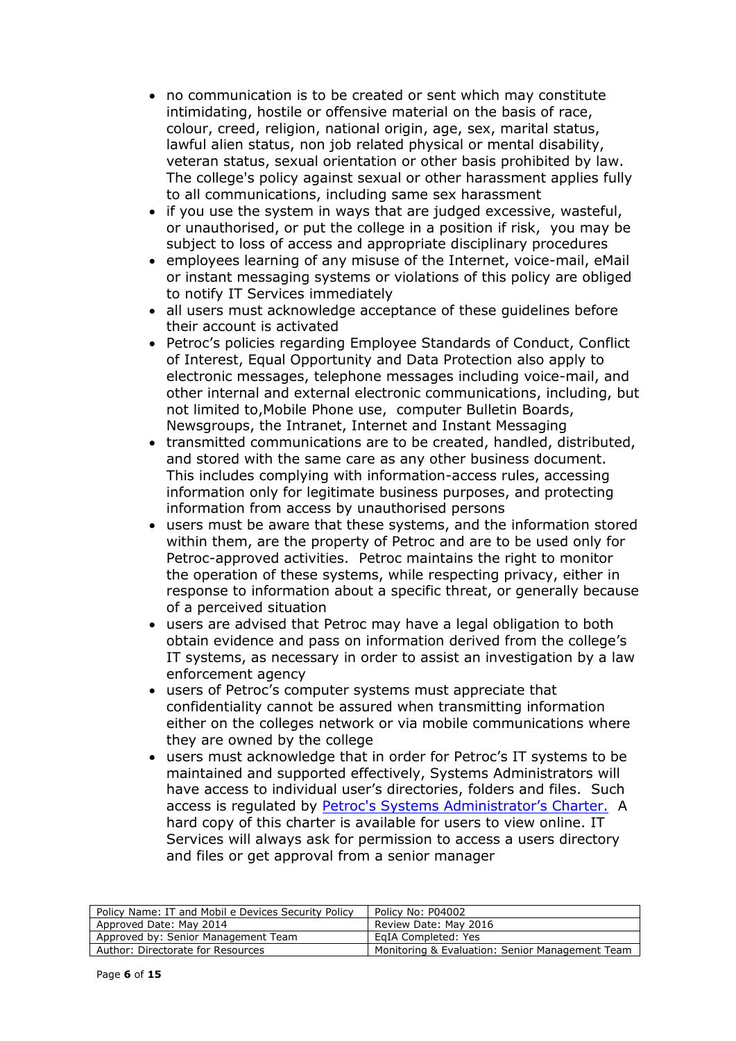- no communication is to be created or sent which may constitute intimidating, hostile or offensive material on the basis of race, colour, creed, religion, national origin, age, sex, marital status, lawful alien status, non job related physical or mental disability, veteran status, sexual orientation or other basis prohibited by law. The college's policy against sexual or other harassment applies fully to all communications, including same sex harassment
- $\bullet$  if you use the system in ways that are judged excessive, wasteful, or unauthorised, or put the college in a position if risk, you may be subject to loss of access and appropriate disciplinary procedures
- employees learning of any misuse of the Internet, voice-mail, eMail or instant messaging systems or violations of this policy are obliged to notify IT Services immediately
- all users must acknowledge acceptance of these guidelines before their account is activated
- Petroc's policies regarding Employee Standards of Conduct, Conflict of Interest, Equal Opportunity and Data Protection also apply to electronic messages, telephone messages including voice-mail, and other internal and external electronic communications, including, but not limited to,Mobile Phone use, computer Bulletin Boards, Newsgroups, the Intranet, Internet and Instant Messaging
- transmitted communications are to be created, handled, distributed, and stored with the same care as any other business document. This includes complying with information-access rules, accessing information only for legitimate business purposes, and protecting information from access by unauthorised persons
- users must be aware that these systems, and the information stored within them, are the property of Petroc and are to be used only for Petroc-approved activities. Petroc maintains the right to monitor the operation of these systems, while respecting privacy, either in response to information about a specific threat, or generally because of a perceived situation
- users are advised that Petroc may have a legal obligation to both obtain evidence and pass on information derived from the college's IT systems, as necessary in order to assist an investigation by a law enforcement agency
- users of Petroc's computer systems must appreciate that confidentiality cannot be assured when transmitting information either on the colleges network or via mobile communications where they are owned by the college
- users must acknowledge that in order for Petroc's IT systems to be maintained and supported effectively, Systems Administrators will have access to individual user's directories, folders and files. Such access is regulated by [Petroc's Systems Administrator's Charter.](https://oncampus.petroc.ac.uk/information/7/rm_policies.htm) A hard copy of this charter is available for users to view online. IT Services will always ask for permission to access a users directory and files or get approval from a senior manager

| Policy Name: IT and Mobil e Devices Security Policy | Policy No: P04002                               |
|-----------------------------------------------------|-------------------------------------------------|
| Approved Date: May 2014                             | Review Date: May 2016                           |
| Approved by: Senior Management Team                 | EaIA Completed: Yes                             |
| Author: Directorate for Resources                   | Monitoring & Evaluation: Senior Management Team |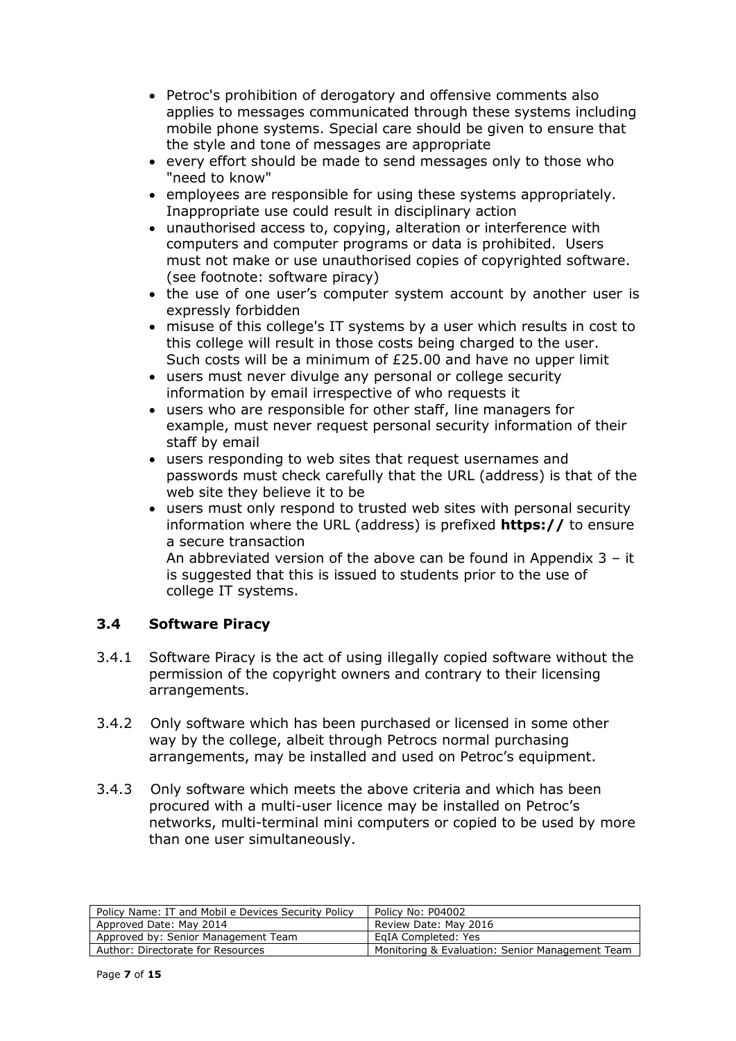- Petroc's prohibition of derogatory and offensive comments also applies to messages communicated through these systems including mobile phone systems. Special care should be given to ensure that the style and tone of messages are appropriate
- every effort should be made to send messages only to those who "need to know"
- employees are responsible for using these systems appropriately. Inappropriate use could result in disciplinary action
- unauthorised access to, copying, alteration or interference with computers and computer programs or data is prohibited. Users must not make or use unauthorised copies of copyrighted software. (see footnote: software piracy)
- the use of one user's computer system account by another user is expressly forbidden
- misuse of this college's IT systems by a user which results in cost to this college will result in those costs being charged to the user. Such costs will be a minimum of £25.00 and have no upper limit
- users must never divulge any personal or college security information by email irrespective of who requests it
- users who are responsible for other staff, line managers for example, must never request personal security information of their staff by email
- users responding to web sites that request usernames and passwords must check carefully that the URL (address) is that of the web site they believe it to be
- users must only respond to trusted web sites with personal security information where the URL (address) is prefixed **https://** to ensure a secure transaction

 An abbreviated version of the above can be found in Appendix 3 – it is suggested that this is issued to students prior to the use of college IT systems.

# **3.4 Software Piracy**

- 3.4.1 Software Piracy is the act of using illegally copied software without the permission of the copyright owners and contrary to their licensing arrangements.
- 3.4.2 Only software which has been purchased or licensed in some other way by the college, albeit through Petrocs normal purchasing arrangements, may be installed and used on Petroc's equipment.
- 3.4.3 Only software which meets the above criteria and which has been procured with a multi-user licence may be installed on Petroc's networks, multi-terminal mini computers or copied to be used by more than one user simultaneously.

| Policy Name: IT and Mobil e Devices Security Policy | Policy No: P04002                               |
|-----------------------------------------------------|-------------------------------------------------|
| Approved Date: May 2014                             | Review Date: May 2016                           |
| Approved by: Senior Management Team                 | EaIA Completed: Yes                             |
| Author: Directorate for Resources                   | Monitoring & Evaluation: Senior Management Team |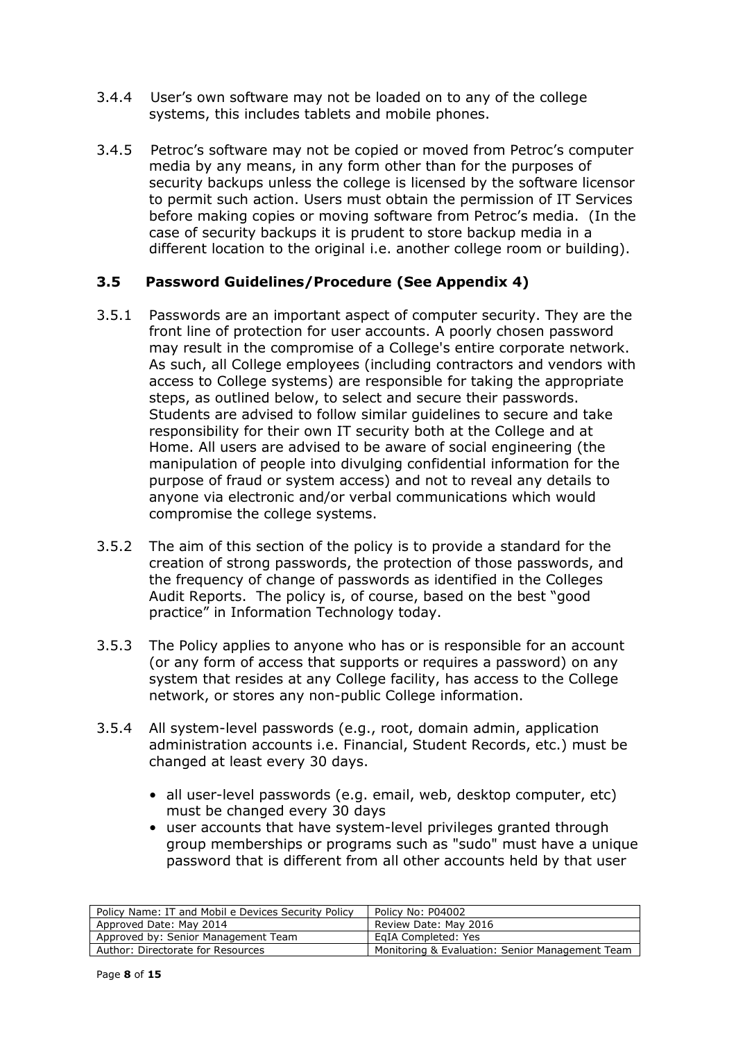- 3.4.4 User's own software may not be loaded on to any of the college systems, this includes tablets and mobile phones.
- 3.4.5 Petroc's software may not be copied or moved from Petroc's computer media by any means, in any form other than for the purposes of security backups unless the college is licensed by the software licensor to permit such action. Users must obtain the permission of IT Services before making copies or moving software from Petroc's media. (In the case of security backups it is prudent to store backup media in a different location to the original i.e. another college room or building).

### **3.5 Password Guidelines/Procedure (See Appendix 4)**

- 3.5.1 Passwords are an important aspect of computer security. They are the front line of protection for user accounts. A poorly chosen password may result in the compromise of a College's entire corporate network. As such, all College employees (including contractors and vendors with access to College systems) are responsible for taking the appropriate steps, as outlined below, to select and secure their passwords. Students are advised to follow similar guidelines to secure and take responsibility for their own IT security both at the College and at Home. All users are advised to be aware of social engineering (the manipulation of people into divulging confidential information for the purpose of fraud or system access) and not to reveal any details to anyone via electronic and/or verbal communications which would compromise the college systems.
- 3.5.2 The aim of this section of the policy is to provide a standard for the creation of strong passwords, the protection of those passwords, and the frequency of change of passwords as identified in the Colleges Audit Reports. The policy is, of course, based on the best "good practice" in Information Technology today.
- 3.5.3 The Policy applies to anyone who has or is responsible for an account (or any form of access that supports or requires a password) on any system that resides at any College facility, has access to the College network, or stores any non-public College information.
- 3.5.4 All system-level passwords (e.g., root, domain admin, application administration accounts i.e. Financial, Student Records, etc.) must be changed at least every 30 days.
	- all user-level passwords (e.g. email, web, desktop computer, etc) must be changed every 30 days
	- user accounts that have system-level privileges granted through group memberships or programs such as "sudo" must have a unique password that is different from all other accounts held by that user

| Policy Name: IT and Mobil e Devices Security Policy | Policy No: P04002                               |
|-----------------------------------------------------|-------------------------------------------------|
| Approved Date: May 2014                             | Review Date: May 2016                           |
| Approved by: Senior Management Team                 | EaIA Completed: Yes                             |
| Author: Directorate for Resources                   | Monitoring & Evaluation: Senior Management Team |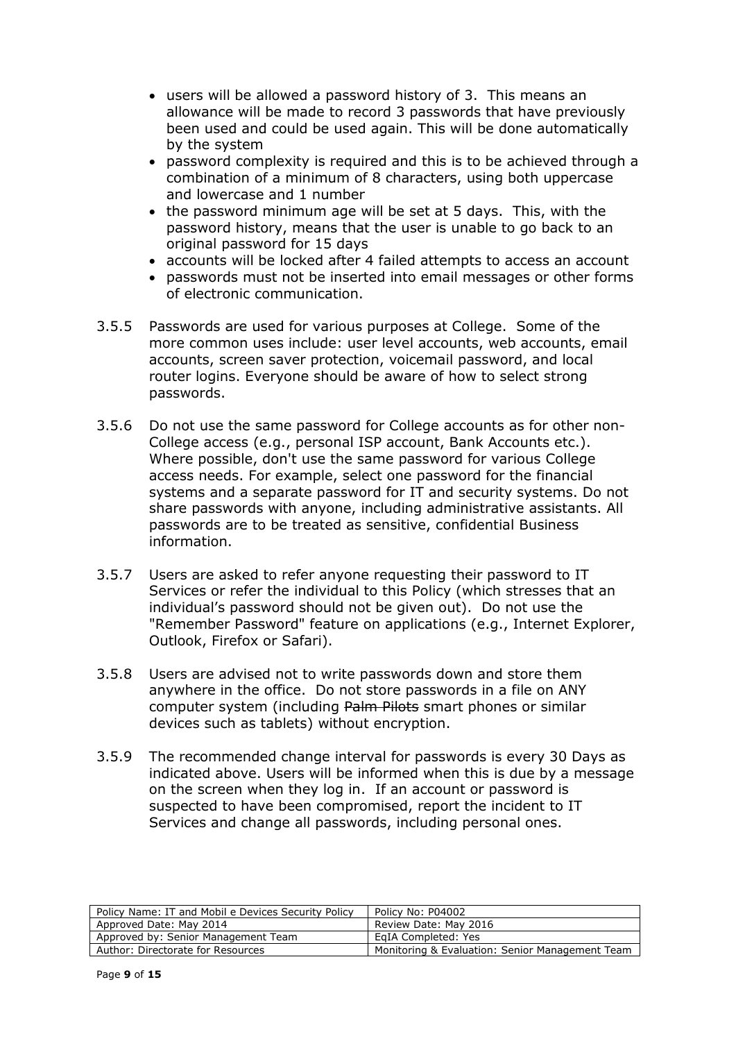- users will be allowed a password history of 3. This means an allowance will be made to record 3 passwords that have previously been used and could be used again. This will be done automatically by the system
- password complexity is required and this is to be achieved through a combination of a minimum of 8 characters, using both uppercase and lowercase and 1 number
- $\bullet$  the password minimum age will be set at 5 days. This, with the password history, means that the user is unable to go back to an original password for 15 days
- accounts will be locked after 4 failed attempts to access an account
- passwords must not be inserted into email messages or other forms of electronic communication.
- 3.5.5 Passwords are used for various purposes at College. Some of the more common uses include: user level accounts, web accounts, email accounts, screen saver protection, voicemail password, and local router logins. Everyone should be aware of how to select strong passwords.
- 3.5.6 Do not use the same password for College accounts as for other non-College access (e.g., personal ISP account, Bank Accounts etc.). Where possible, don't use the same password for various College access needs. For example, select one password for the financial systems and a separate password for IT and security systems. Do not share passwords with anyone, including administrative assistants. All passwords are to be treated as sensitive, confidential Business information.
- 3.5.7 Users are asked to refer anyone requesting their password to IT Services or refer the individual to this Policy (which stresses that an individual's password should not be given out). Do not use the "Remember Password" feature on applications (e.g., Internet Explorer, Outlook, Firefox or Safari).
- 3.5.8 Users are advised not to write passwords down and store them anywhere in the office. Do not store passwords in a file on ANY computer system (including Palm Pilots smart phones or similar devices such as tablets) without encryption.
- 3.5.9 The recommended change interval for passwords is every 30 Days as indicated above. Users will be informed when this is due by a message on the screen when they log in. If an account or password is suspected to have been compromised, report the incident to IT Services and change all passwords, including personal ones.

| Policy Name: IT and Mobil e Devices Security Policy | Policy No: P04002                               |
|-----------------------------------------------------|-------------------------------------------------|
| Approved Date: May 2014                             | Review Date: May 2016                           |
| Approved by: Senior Management Team                 | EaIA Completed: Yes                             |
| Author: Directorate for Resources                   | Monitoring & Evaluation: Senior Management Team |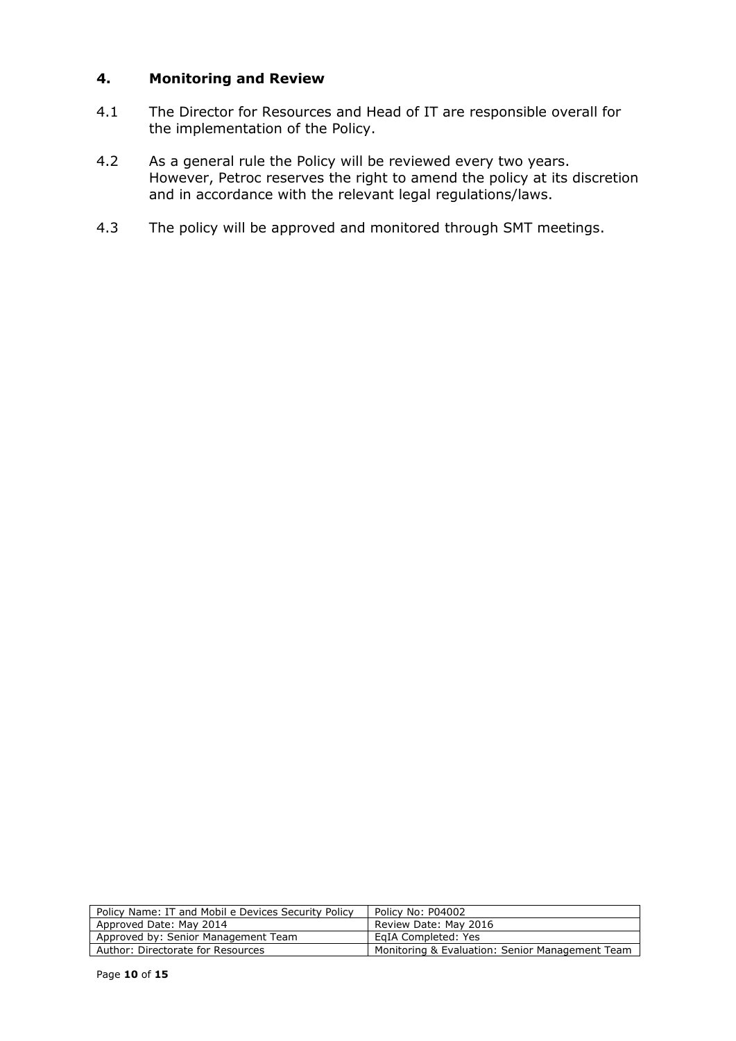### **4. Monitoring and Review**

- 4.1 The Director for Resources and Head of IT are responsible overall for the implementation of the Policy.
- 4.2 As a general rule the Policy will be reviewed every two years. However, Petroc reserves the right to amend the policy at its discretion and in accordance with the relevant legal regulations/laws.
- 4.3The policy will be approved and monitored through SMT meetings.

| Policy Name: IT and Mobil e Devices Security Policy | Policy No: P04002                               |
|-----------------------------------------------------|-------------------------------------------------|
| Approved Date: May 2014                             | Review Date: May 2016                           |
| Approved by: Senior Management Team                 | EaIA Completed: Yes                             |
| Author: Directorate for Resources                   | Monitoring & Evaluation: Senior Management Team |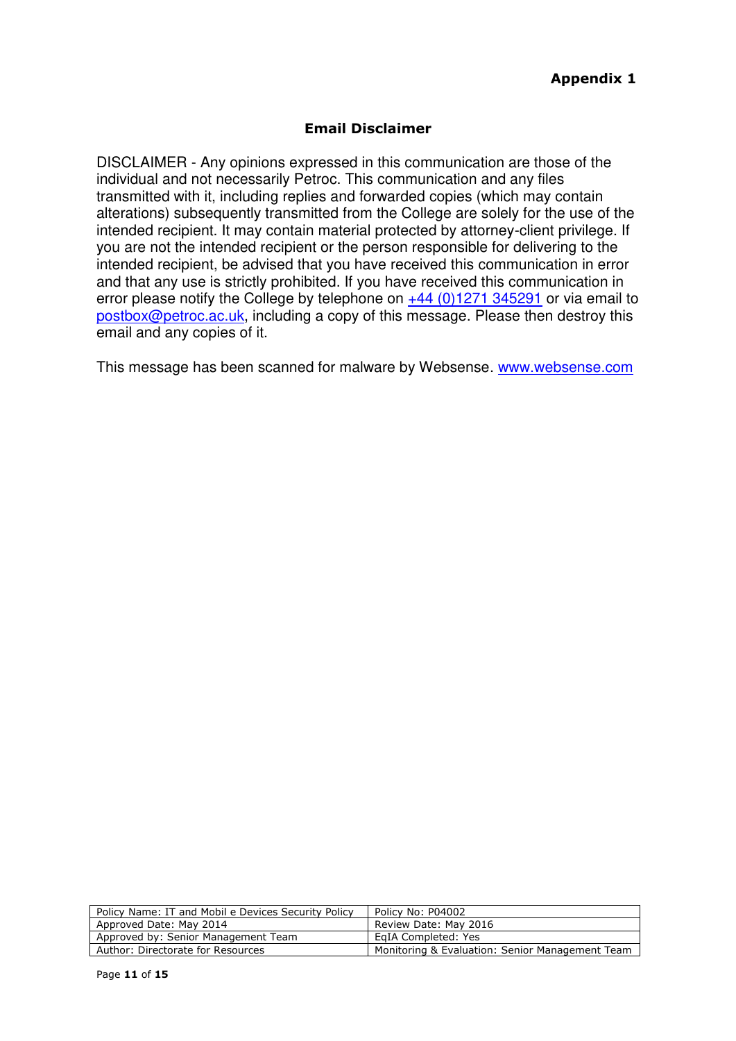## **Email Disclaimer**

DISCLAIMER - Any opinions expressed in this communication are those of the individual and not necessarily Petroc. This communication and any files transmitted with it, including replies and forwarded copies (which may contain alterations) subsequently transmitted from the College are solely for the use of the intended recipient. It may contain material protected by attorney-client privilege. If you are not the intended recipient or the person responsible for delivering to the intended recipient, be advised that you have received this communication in error and that any use is strictly prohibited. If you have received this communication in error please notify the College by telephone on  $+44$  (0)1271 345291 or via email to [postbox@petroc.ac.uk,](mailto:postbox@petroc.ac.uk) including a copy of this message. Please then destroy this email and any copies of it.

This message has been scanned for malware by Websense. [www.websense.com](http://www.websense.com/)

| Policy No: P04002                               |
|-------------------------------------------------|
| Review Date: May 2016                           |
| EgIA Completed: Yes                             |
| Monitoring & Evaluation: Senior Management Team |
|                                                 |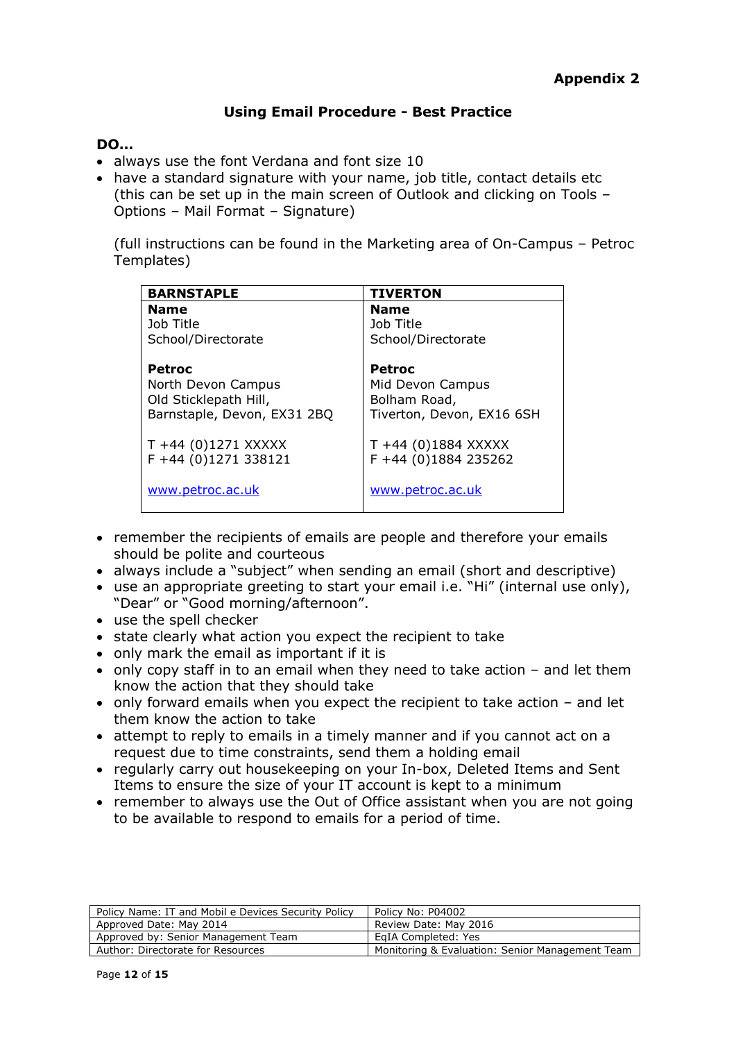## **Using Email Procedure - Best Practice**

### **DO…**

- always use the font Verdana and font size 10
- have a standard signature with your name, job title, contact details etc (this can be set up in the main screen of Outlook and clicking on Tools – Options – Mail Format – Signature)

(full instructions can be found in the Marketing area of On-Campus – Petroc Templates)

| <b>BARNSTAPLE</b>                                                                    | <b>TIVERTON</b>                                                                |
|--------------------------------------------------------------------------------------|--------------------------------------------------------------------------------|
| <b>Name</b>                                                                          | <b>Name</b>                                                                    |
| Job Title                                                                            | Job Title                                                                      |
| School/Directorate                                                                   | School/Directorate                                                             |
| Petroc<br>North Devon Campus<br>Old Sticklepath Hill,<br>Barnstaple, Devon, EX31 2BQ | <b>Petroc</b><br>Mid Devon Campus<br>Bolham Road,<br>Tiverton, Devon, EX16 6SH |
| $T + 44$ (0)1271 XXXXX<br>F +44 (0)1271 338121                                       | $T + 44$ (0)1884 XXXXX<br>F +44 (0)1884 235262                                 |
| www.petroc.ac.uk                                                                     | www.petroc.ac.uk                                                               |

- remember the recipients of emails are people and therefore your emails should be polite and courteous
- always include a "subject" when sending an email (short and descriptive)
- use an appropriate greeting to start your email i.e. "Hi" (internal use only), "Dear" or "Good morning/afternoon".
- use the spell checker
- state clearly what action you expect the recipient to take
- only mark the email as important if it is
- only copy staff in to an email when they need to take action and let them know the action that they should take
- only forward emails when you expect the recipient to take action and let them know the action to take
- attempt to reply to emails in a timely manner and if you cannot act on a request due to time constraints, send them a holding email
- regularly carry out housekeeping on your In-box, Deleted Items and Sent Items to ensure the size of your IT account is kept to a minimum
- remember to always use the Out of Office assistant when you are not going to be available to respond to emails for a period of time.

| Policy Name: IT and Mobil e Devices Security Policy | Policy No: P04002                               |
|-----------------------------------------------------|-------------------------------------------------|
| Approved Date: May 2014                             | Review Date: May 2016                           |
| Approved by: Senior Management Team                 | EaIA Completed: Yes                             |
| Author: Directorate for Resources                   | Monitoring & Evaluation: Senior Management Team |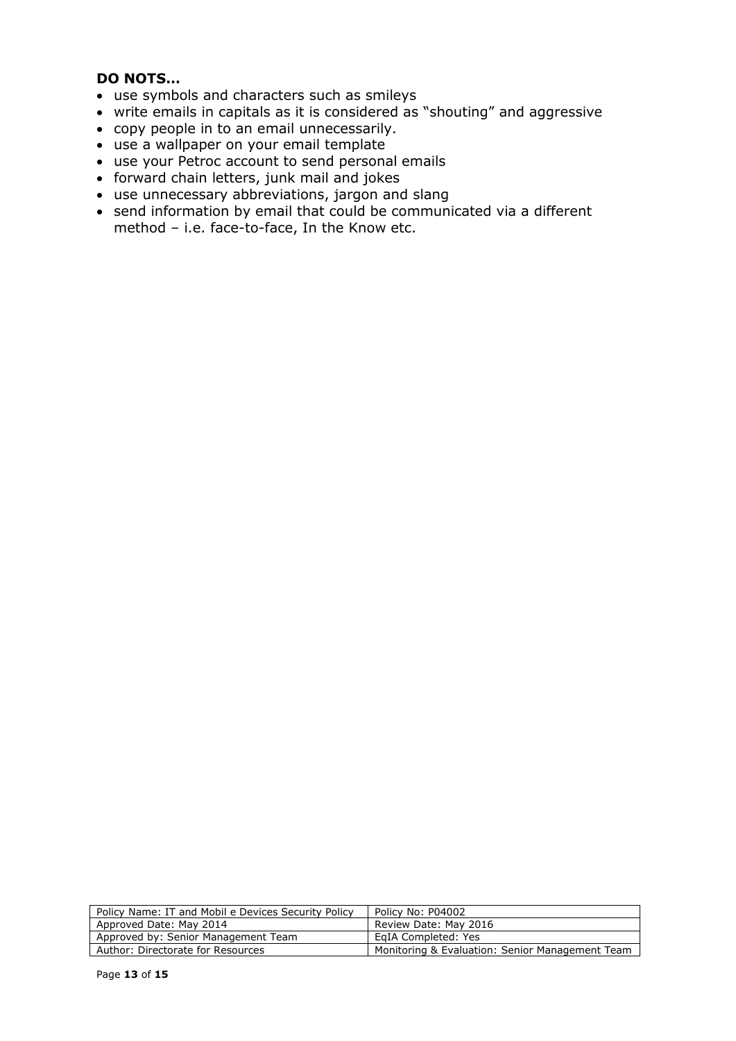## **DO NOTS…**

- use symbols and characters such as smileys
- write emails in capitals as it is considered as "shouting" and aggressive
- copy people in to an email unnecessarily.
- use a wallpaper on your email template
- use your Petroc account to send personal emails
- forward chain letters, junk mail and jokes
- use unnecessary abbreviations, jargon and slang
- send information by email that could be communicated via a different method – i.e. face-to-face, In the Know etc.

| Policy No: P04002                               |
|-------------------------------------------------|
| Review Date: May 2016                           |
| EaIA Completed: Yes                             |
| Monitoring & Evaluation: Senior Management Team |
|                                                 |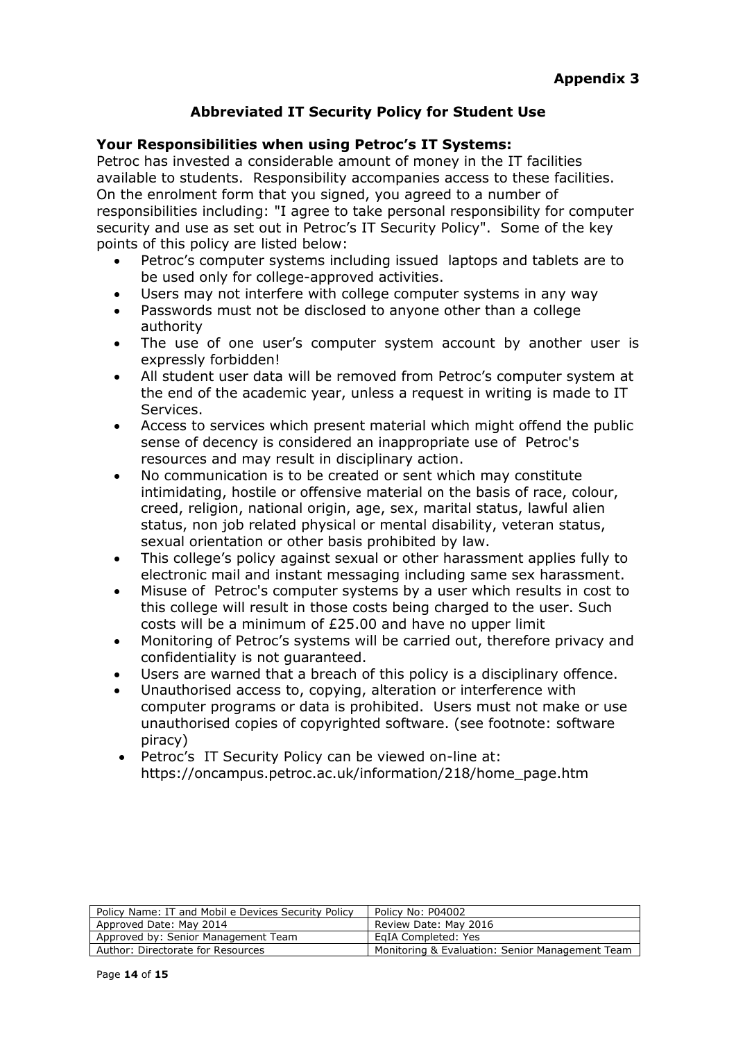# **Abbreviated IT Security Policy for Student Use**

### **Your Responsibilities when using Petroc's IT Systems:**

Petroc has invested a considerable amount of money in the IT facilities available to students. Responsibility accompanies access to these facilities. On the enrolment form that you signed, you agreed to a number of responsibilities including: "I agree to take personal responsibility for computer security and use as set out in Petroc's IT Security Policy". Some of the key points of this policy are listed below:

- Petroc's computer systems including issued laptops and tablets are to be used only for college-approved activities.
- Users may not interfere with college computer systems in any way
- Passwords must not be disclosed to anyone other than a college authority
- The use of one user's computer system account by another user is expressly forbidden!
- All student user data will be removed from Petroc's computer system at the end of the academic year, unless a request in writing is made to IT Services.
- Access to services which present material which might offend the public sense of decency is considered an inappropriate use of Petroc's resources and may result in disciplinary action.
- No communication is to be created or sent which may constitute intimidating, hostile or offensive material on the basis of race, colour, creed, religion, national origin, age, sex, marital status, lawful alien status, non job related physical or mental disability, veteran status, sexual orientation or other basis prohibited by law.
- This college's policy against sexual or other harassment applies fully to electronic mail and instant messaging including same sex harassment.
- Misuse of Petroc's computer systems by a user which results in cost to this college will result in those costs being charged to the user. Such costs will be a minimum of £25.00 and have no upper limit
- Monitoring of Petroc's systems will be carried out, therefore privacy and confidentiality is not guaranteed.
- Users are warned that a breach of this policy is a disciplinary offence.
- Unauthorised access to, copying, alteration or interference with computer programs or data is prohibited. Users must not make or use unauthorised copies of copyrighted software. (see footnote: software piracy)
- Petroc's IT Security Policy can be viewed on-line at: https://oncampus.petroc.ac.uk/information/218/home\_page.htm

| Policy Name: IT and Mobil e Devices Security Policy | Policy No: P04002                               |
|-----------------------------------------------------|-------------------------------------------------|
| Approved Date: May 2014                             | Review Date: May 2016                           |
| Approved by: Senior Management Team                 | EaIA Completed: Yes                             |
| Author: Directorate for Resources                   | Monitoring & Evaluation: Senior Management Team |